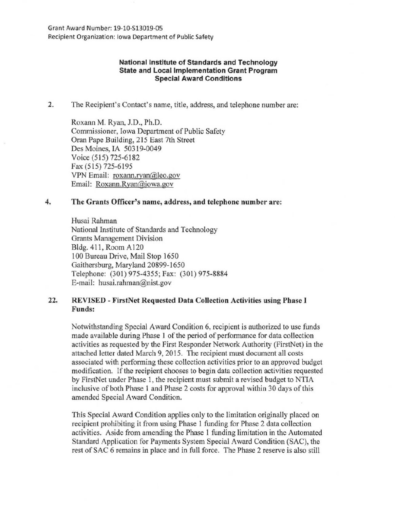Grant Award Number: 19-10-513019-05 Recipient Organization: Iowa Department of Public Safety

## National Institute of Standards and Technology State and Local Implementation Grant Program Special Award Conditions

2. The Recipient's Contact's name, title, address, and telephone number are:

Roxann M. Ryan, J.D., Ph.D. Commissioner, Iowa Department of Public Safety Oran Pape Building, 215 East 7th Street Des Moines, IA 50319-0049 Voice (515) 725-6182 Fax (515) 725-6195 VPN Email: roxann.ryan@leo.gov Email: Roxann.Ryan@iowa.gov

## 4. The Grants Officer's name, address, and telephone number are:

Husai Rahman National Institute of Standards and Technology Grants Management Division Bldg. 411, Room Al20 100 Bureau Drive, Mail Stop 1650 Gaithersburg, Maryland 20899-1650 Telephone: (301) 975-4355; Fax: (301) 975-8884 E-mail: husai.rahman@nist.gov

## 22. REVISED - FirstNet Requested Data Collection Activities using Phase I Funds:

Notwithstanding Special Award Condition 6, recipient is authorized to use funds made available during Phase I of the period of performance for data collection activities as requested by the First Responder Network Authority (FirstNet) in the attached letter dated March 9, 2015. The recipient must document all costs associated with performing these collection activities prior to an approved budget modification. If the recipient chooses to begin data collection activities requested by FirstNet under Phase 1, the recipient must submit a revised budget to NTIA inclusive of both Phase 1 and Phase 2 costs for approval within 30 days of this amended Special Award Condition.

This Special Award Condition applies only to the limitation originally placed on recipient prohibiting it from using Phase 1 funding for Phase 2 data collection activities. Aside from amending the Phase 1 funding limitation in the Automated Standard Application for Payments System Special Award Condition (SAC), the rest of SAC 6 remains in place and in full force. The Phase 2 reserve is also still